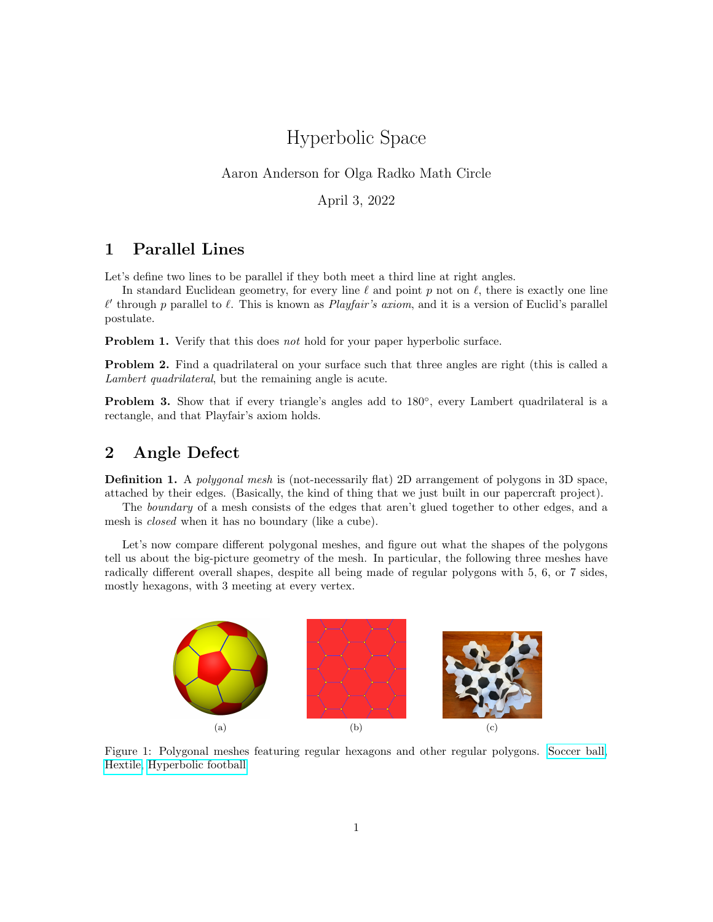## Hyperbolic Space

## Aaron Anderson for Olga Radko Math Circle

April 3, 2022

## 1 Parallel Lines

Let's define two lines to be parallel if they both meet a third line at right angles.

In standard Euclidean geometry, for every line  $\ell$  and point p not on  $\ell$ , there is exactly one line  $\ell'$  through p parallel to  $\ell$ . This is known as *Playfair's axiom*, and it is a version of Euclid's parallel postulate.

**Problem 1.** Verify that this does not hold for your paper hyperbolic surface.

Problem 2. Find a quadrilateral on your surface such that three angles are right (this is called a Lambert quadrilateral, but the remaining angle is acute.

Problem 3. Show that if every triangle's angles add to 180°, every Lambert quadrilateral is a rectangle, and that Playfair's axiom holds.

## 2 Angle Defect

Definition 1. A polygonal mesh is (not-necessarily flat) 2D arrangement of polygons in 3D space, attached by their edges. (Basically, the kind of thing that we just built in our papercraft project).

The boundary of a mesh consists of the edges that aren't glued together to other edges, and a mesh is closed when it has no boundary (like a cube).

Let's now compare different polygonal meshes, and figure out what the shapes of the polygons tell us about the big-picture geometry of the mesh. In particular, the following three meshes have radically different overall shapes, despite all being made of regular polygons with 5, 6, or 7 sides, mostly hexagons, with 3 meeting at every vertex.

<span id="page-0-2"></span><span id="page-0-1"></span><span id="page-0-0"></span>

Figure 1: Polygonal meshes featuring regular hexagons and other regular polygons. [Soccer ball,](https://upload.wikimedia.org/wikipedia/commons/1/19/Uniform_tiling_532-t12.png) [Hextile,](https://commons.wikimedia.org/wiki/File:Tiling_6_simple.svg) [Hyperbolic football](https://www.math.tamu.edu/~sottile/research/stories/hyperbolic_football/)